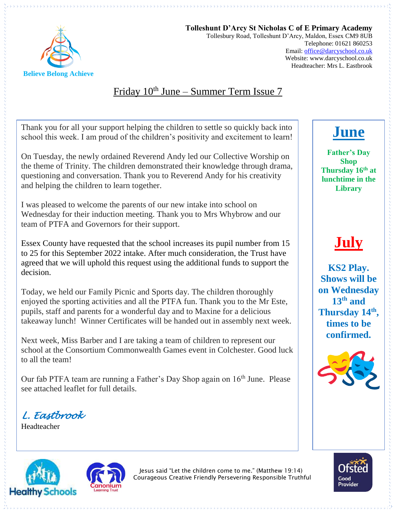

**Tolleshunt D'Arcy St Nicholas C of E Primary Academy** Tollesbury Road, Tolleshunt D'Arcy, Maldon, Essex CM9 8UB Telephone: 01621 860253 Email[: office@darcyschool.co.uk](mailto:office@darcyschool.co.uk) Website: www.darcyschool.co.uk Headteacher: Mrs L. Eastbrook

### Friday  $10<sup>th</sup>$  June – Summer Term Issue 7

Thank you for all your support helping the children to settle so quickly back into school this week. I am proud of the children's positivity and excitement to learn!

On Tuesday, the newly ordained Reverend Andy led our Collective Worship on the theme of Trinity. The children demonstrated their knowledge through drama, questioning and conversation. Thank you to Reverend Andy for his creativity and helping the children to learn together.

I was pleased to welcome the parents of our new intake into school on Wednesday for their induction meeting. Thank you to Mrs Whybrow and our team of PTFA and Governors for their support.

Essex County have requested that the school increases its pupil number from 15 to 25 for this September 2022 intake. After much consideration, the Trust have agreed that we will uphold this request using the additional funds to support the decision.

Today, we held our Family Picnic and Sports day. The children thoroughly enjoyed the sporting activities and all the PTFA fun. Thank you to the Mr Este, pupils, staff and parents for a wonderful day and to Maxine for a delicious takeaway lunch! Winner Certificates will be handed out in assembly next week.

Next week, Miss Barber and I are taking a team of children to represent our school at the Consortium Commonwealth Games event in Colchester. Good luck to all the team!

Our fab PTFA team are running a Father's Day Shop again on 16<sup>th</sup> June. Please see attached leaflet for full details.

*L. Eastbrook* 

Headteacher





Jesus said "Let the children come to me." (Matthew 19:14) Courageous Creative Friendly Persevering Responsible Truthful



**Father's Day Shop Thursday 16th at lunchtime in the Library** 

**July** 

**KS2 Play. Shows will be on Wednesday 13th and Thursday 14th , times to be confirmed.**